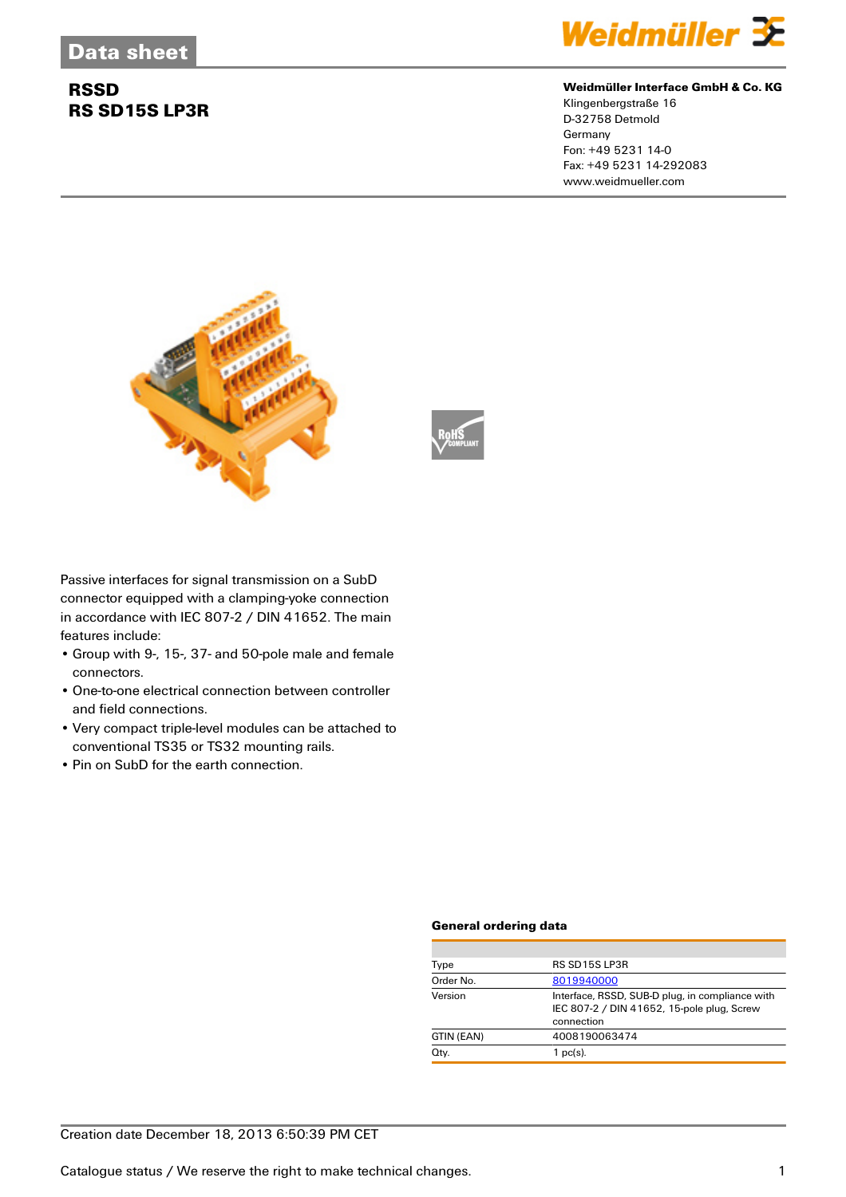## **RSSD RS SD15S LP3R**



#### **Weidmüller Interface GmbH & Co. KG**

Klingenbergstraße 16 D-32758 Detmold Germany Fon: +49 5231 14-0 Fax: +49 5231 14-292083 www.weidmueller.com





Passive interfaces for signal transmission on a SubD connector equipped with a clamping-yoke connection in accordance with IEC 807-2 / DIN 41652. The main features include:

- Group with 9-, 15-, 37- and 50-pole male and female connectors.
- One-to-one electrical connection between controller and field connections.
- Very compact triple-level modules can be attached to conventional TS35 or TS32 mounting rails.
- Pin on SubD for the earth connection.

#### **General ordering data**

| Type       | RS SD15S LP3R                                                                                               |
|------------|-------------------------------------------------------------------------------------------------------------|
| Order No.  | 8019940000                                                                                                  |
| Version    | Interface, RSSD, SUB-D plug, in compliance with<br>IEC 807-2 / DIN 41652, 15-pole plug, Screw<br>connection |
| GTIN (EAN) | 4008190063474                                                                                               |
| Qty.       | $1$ pc(s).                                                                                                  |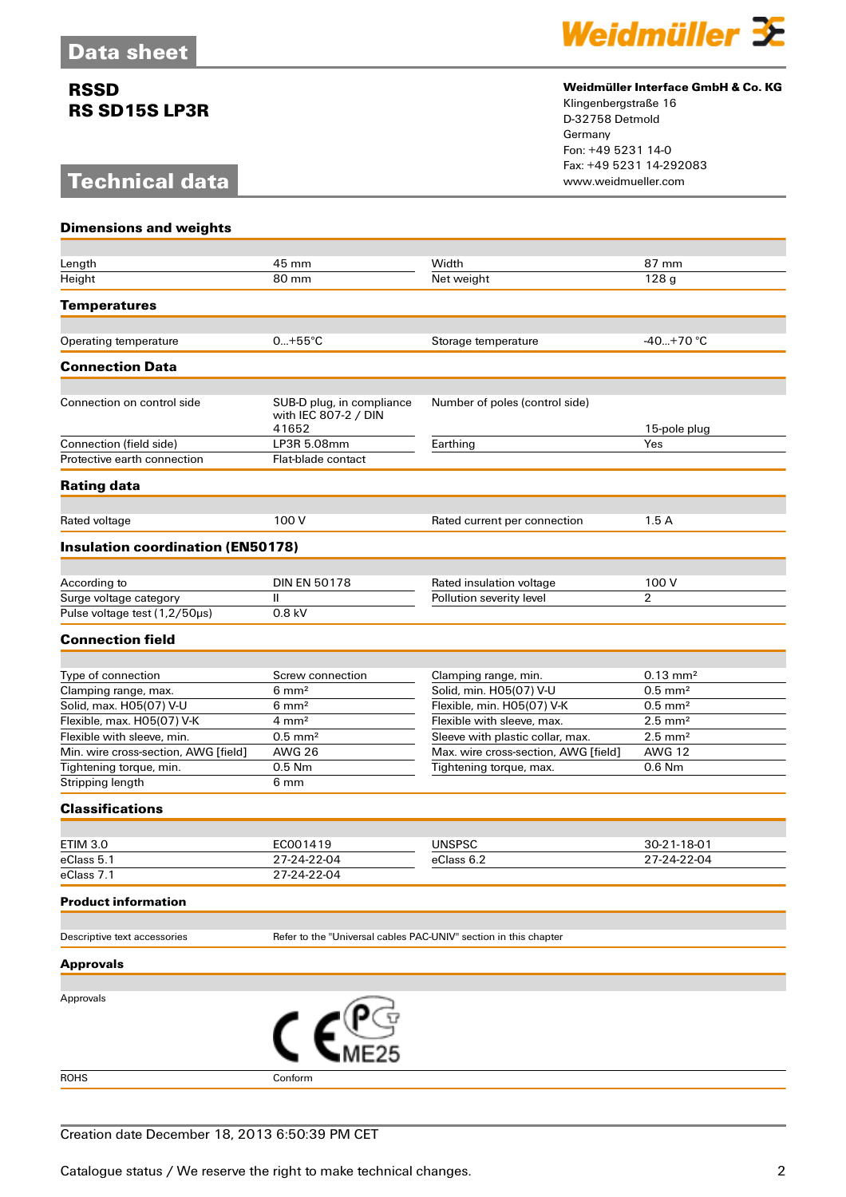## **RSSD RS SD15S LP3R**

# **Technical data**



#### **Weidmüller Interface GmbH & Co. KG**

Klingenbergstraße 16 D-32758 Detmold Germany Fon: +49 5231 14-0 Fax: +49 5231 14-292083

| <b>Dimensions and weights</b>                                   |                                                                  |                                                                 |                                        |
|-----------------------------------------------------------------|------------------------------------------------------------------|-----------------------------------------------------------------|----------------------------------------|
|                                                                 |                                                                  |                                                                 |                                        |
| Length                                                          | 45 mm                                                            | Width                                                           | 87 mm                                  |
| Height                                                          | 80 mm                                                            | Net weight                                                      | 128 <sub>g</sub>                       |
| <b>Temperatures</b>                                             |                                                                  |                                                                 |                                        |
|                                                                 |                                                                  |                                                                 |                                        |
| Operating temperature                                           | $0+55^{\circ}C$                                                  | Storage temperature                                             | $-40+70$ °C                            |
| <b>Connection Data</b>                                          |                                                                  |                                                                 |                                        |
| Connection on control side                                      | SUB-D plug, in compliance<br>with IEC 807-2 / DIN<br>41652       | Number of poles (control side)                                  | 15-pole plug                           |
| Connection (field side)                                         | LP3R 5.08mm                                                      | Earthing                                                        | Yes                                    |
| Protective earth connection                                     | Flat-blade contact                                               |                                                                 |                                        |
| <b>Rating data</b>                                              |                                                                  |                                                                 |                                        |
|                                                                 |                                                                  |                                                                 |                                        |
| Rated voltage                                                   | 100 V                                                            | Rated current per connection                                    | 1.5A                                   |
| <b>Insulation coordination (EN50178)</b>                        |                                                                  |                                                                 |                                        |
| According to                                                    | <b>DIN EN 50178</b>                                              | Rated insulation voltage                                        | 100 V                                  |
| Surge voltage category                                          | Ш                                                                | Pollution severity level                                        | $\overline{2}$                         |
| Pulse voltage test (1,2/50µs)                                   | 0.8 kV                                                           |                                                                 |                                        |
| <b>Connection field</b>                                         |                                                                  |                                                                 |                                        |
|                                                                 |                                                                  |                                                                 |                                        |
| Type of connection                                              | Screw connection                                                 | Clamping range, min.                                            | $0.13 \text{ mm}^2$                    |
| Clamping range, max.                                            | $6 \text{ mm}^2$                                                 | Solid, min. H05(07) V-U                                         | $0.5$ mm <sup>2</sup>                  |
| Solid, max. H05(07) V-U                                         | $6 \, \text{mm}^2$                                               | Flexible, min. H05(07) V-K                                      | $0.5$ mm <sup>2</sup>                  |
| Flexible, max. H05(07) V-K                                      | $4 \text{ mm}^2$                                                 | Flexible with sleeve, max.                                      | $2.5 \text{ mm}^2$                     |
| Flexible with sleeve, min.                                      | $0.5$ mm <sup>2</sup><br><b>AWG 26</b>                           | Sleeve with plastic collar, max.                                | $2.5$ mm <sup>2</sup><br><b>AWG 12</b> |
| Min. wire cross-section, AWG [field]<br>Tightening torque, min. | 0.5 Nm                                                           | Max. wire cross-section, AWG [field]<br>Tightening torque, max. | $0.6$ Nm                               |
| Stripping length                                                | 6 mm                                                             |                                                                 |                                        |
| <b>Classifications</b>                                          |                                                                  |                                                                 |                                        |
|                                                                 |                                                                  |                                                                 |                                        |
| <b>ETIM 3.0</b>                                                 | EC001419                                                         | <b>UNSPSC</b>                                                   | 30-21-18-01                            |
| eClass 5.1                                                      | 27-24-22-04                                                      | eClass 6.2                                                      | 27-24-22-04                            |
| eClass 7.1                                                      | 27-24-22-04                                                      |                                                                 |                                        |
| <b>Product information</b>                                      |                                                                  |                                                                 |                                        |
| Descriptive text accessories                                    | Refer to the "Universal cables PAC-UNIV" section in this chapter |                                                                 |                                        |
| <b>Approvals</b>                                                |                                                                  |                                                                 |                                        |
|                                                                 |                                                                  |                                                                 |                                        |
| Approvals                                                       |                                                                  |                                                                 |                                        |
|                                                                 |                                                                  |                                                                 |                                        |
| <b>ROHS</b>                                                     | Conform                                                          |                                                                 |                                        |
|                                                                 |                                                                  |                                                                 |                                        |

### Creation date December 18, 2013 6:50:39 PM CET

Catalogue status / We reserve the right to make technical changes. 2